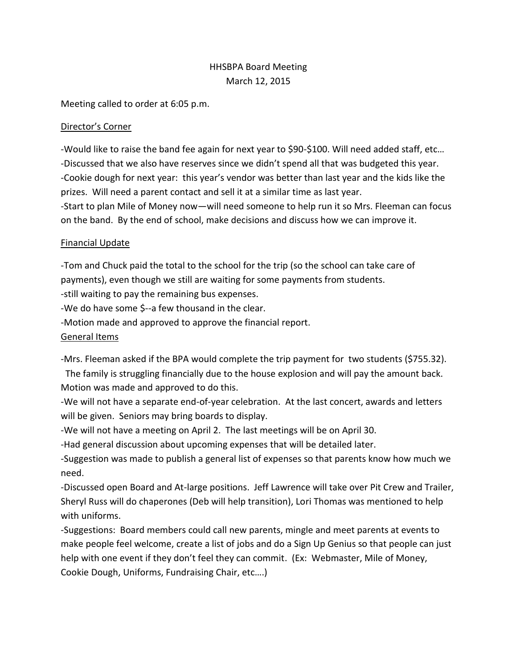# HHSBPA Board Meeting March 12, 2015

Meeting called to order at 6:05 p.m.

#### Director's Corner

-Would like to raise the band fee again for next year to \$90-\$100. Will need added staff, etc… -Discussed that we also have reserves since we didn't spend all that was budgeted this year. -Cookie dough for next year: this year's vendor was better than last year and the kids like the prizes. Will need a parent contact and sell it at a similar time as last year.

-Start to plan Mile of Money now—will need someone to help run it so Mrs. Fleeman can focus on the band. By the end of school, make decisions and discuss how we can improve it.

#### Financial Update

-Tom and Chuck paid the total to the school for the trip (so the school can take care of payments), even though we still are waiting for some payments from students. -still waiting to pay the remaining bus expenses. -We do have some \$--a few thousand in the clear. -Motion made and approved to approve the financial report. General Items

-Mrs. Fleeman asked if the BPA would complete the trip payment for two students (\$755.32).

 The family is struggling financially due to the house explosion and will pay the amount back. Motion was made and approved to do this.

-We will not have a separate end-of-year celebration. At the last concert, awards and letters will be given. Seniors may bring boards to display.

-We will not have a meeting on April 2. The last meetings will be on April 30.

-Had general discussion about upcoming expenses that will be detailed later.

-Suggestion was made to publish a general list of expenses so that parents know how much we need.

-Discussed open Board and At-large positions. Jeff Lawrence will take over Pit Crew and Trailer, Sheryl Russ will do chaperones (Deb will help transition), Lori Thomas was mentioned to help with uniforms.

-Suggestions: Board members could call new parents, mingle and meet parents at events to make people feel welcome, create a list of jobs and do a Sign Up Genius so that people can just help with one event if they don't feel they can commit. (Ex: Webmaster, Mile of Money, Cookie Dough, Uniforms, Fundraising Chair, etc….)